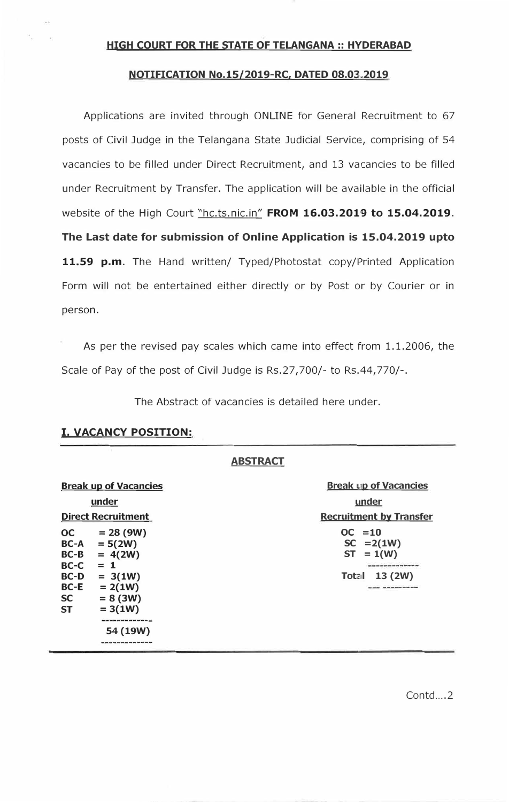## **HIGH COURT FOR THE STATE OF TELANGANA :: HYDERABAD**

## **NOTIFICATION No.15/2019-RC, DATED 08.03.2019**

Applications are invited through ONLINE for General Recruitment to 67 posts of Civil Judge in the Telangana State Judicial Service, comprising of 54 vacancies to be filled under Direct Recruitment, and 13 vacancies to be filled under Recruitment by Transfer. The application will be available in the official website of the High Court "hc.ts.nic.in" **FROM 16.03.2019 to 15.04.2019. The Last date for submission of Online Application is 15.04.2019 upto**  11.59 p.m. The Hand written/ Typed/Photostat copy/Printed Application Form will not be entertained either directly or by Post or by Courier or in person.

As per the revised pay scales which came into effect from 1.1.2006, the Scale of Pay of the post of Civil Judge is Rs.27,700/- to Rs.44,770/-.

The Abstract of vacancies is detailed here under.

|                                                      |                                                                                                                                 | <b>ABSTRACT</b>                                                                                          |
|------------------------------------------------------|---------------------------------------------------------------------------------------------------------------------------------|----------------------------------------------------------------------------------------------------------|
| <b>Break up of Vacancies</b>                         |                                                                                                                                 | <b>Break up of Vacancies</b>                                                                             |
| under                                                |                                                                                                                                 | under                                                                                                    |
| <b>Direct Recruitment</b>                            |                                                                                                                                 | <b>Recruitment by Transfer</b>                                                                           |
| $BC-C = 1$                                           | $OC = 28 (9W)$<br>$BC-A = 5(2W)$<br>$BC-B = 4(2W)$                                                                              | $OC = 10$<br>$SC = 2(1W)$<br>$ST = 1(W)$<br>men term som dans best and han over sine and han term on the |
| <b>BC-D</b><br><b>BC-E</b><br><b>SC</b><br><b>ST</b> | $= 3(1W)$<br>$= 2(1W)$<br>$= 8 (3W)$<br>$= 3(1W)$<br><u>and was so it has been and also seek them with more was</u><br>54 (19W) | 13(2W)<br><b>Total</b>                                                                                   |

# **I. VACANCY POSITION:**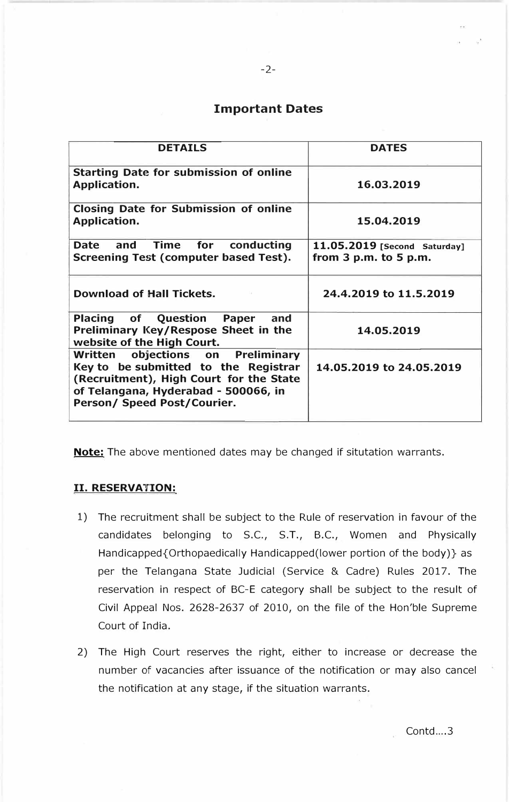# **Important Dates**

| <b>DETAILS</b>                                                                                                                                                                                 | <b>DATES</b>                                              |
|------------------------------------------------------------------------------------------------------------------------------------------------------------------------------------------------|-----------------------------------------------------------|
| <b>Starting Date for submission of online</b><br>Application.                                                                                                                                  | 16.03.2019                                                |
| <b>Closing Date for Submission of online</b><br><b>Application.</b>                                                                                                                            | 15.04.2019                                                |
| Date and Time for<br>conducting<br>Screening Test (computer based Test).                                                                                                                       | 11.05.2019 [Second Saturday]<br>from $3$ p.m. to $5$ p.m. |
| <b>Download of Hall Tickets.</b>                                                                                                                                                               | 24.4.2019 to 11.5.2019                                    |
| Placing of Question Paper<br>and<br>Preliminary Key/Respose Sheet in the<br>website of the High Court.                                                                                         | 14.05.2019                                                |
| objections on Preliminary<br>Written<br>Key to be submitted to the Registrar<br>(Recruitment), High Court for the State<br>of Telangana, Hyderabad - 500066, in<br>Person/ Speed Post/Courier. | 14.05.2019 to 24.05.2019                                  |

**Note:** The above mentioned dates may be changed if situtation warrants.

# II. **RESERVATION:**

- 1) The recruitment shall be subject to the Rule of reservation in favour of the candidates belonging to S.C., S.T., B.C., Women and Physically Handicapped{Orthopaedically Handicapped(lower portion of the body)} as per the Telangana State Judicial (Service & Cadre) Rules 2017. The reservation in respect of BC-E category shall be subject to the result of Civil Appeal Nos. 2628-2637 of 2010, on the file of the Hon'ble Supreme Court of India.
- 2) The High Court reserves the right, either to increase or decrease the number of vacancies after issuance of the notification or may also cancel the notification at any stage, if the situation warrants.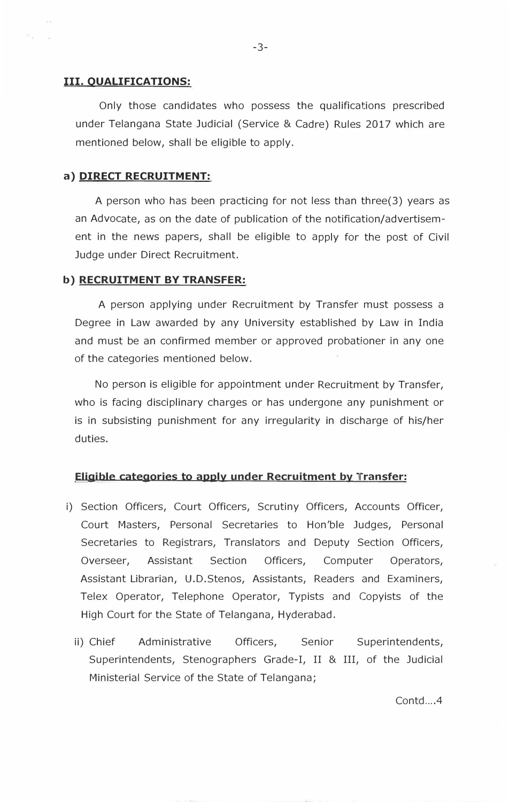### **III. QUALIFICATIONS:**

Only those candidates who possess the qualifications prescribed under Telangana State Judicial (Service & Cadre) Rules 2017 which are mentioned below, shall be eligible to apply.

### **a) DIRECT RECRUITMENT:**

A person who has been practicing for not less than three(3) years as an Advocate, as on the date of publication of the notification/advertisement in the news papers, shall be eligible to apply for the post of Civil Judge under Direct Recruitment.

#### **b) RECRUITMENT BY TRANSFER:**

A person applying under Recruitment by Transfer must possess a Degree in Law awarded by any University established by Law in India and must be an confirmed member or approved probationer in any one of the categories mentioned below.

No person is eligible for appointment under Recruitment by Transfer, who is facing disciplinary charges or has undergone any punishment or is in subsisting punishment for any irregularity in discharge of his/her duties.

### **Eligible categories to apply under Recruitment by Transfer:**

- i) Section Officers, Court Officers, Scrutiny Officers, Accounts Officer, Court Masters, Personal Secretaries to Hon'ble Judges, Personal Secretaries to Registrars, Translators and Deputy Section Officers, Overseer, Assistant Section Officers, Computer Operators, Assistant Librarian, U.D.Stenos, Assistants, Readers and Examiners, Telex Operator, Telephone Operator, Typists and Copyists of the High Court for the State of Telangana, Hyderabad.
	- ii) Chief Administrative Officers, Senior Superintendents, Superintendents, Stenographers Grade-I, II & III, of the Judicial Ministerial Service of the State of Telangana;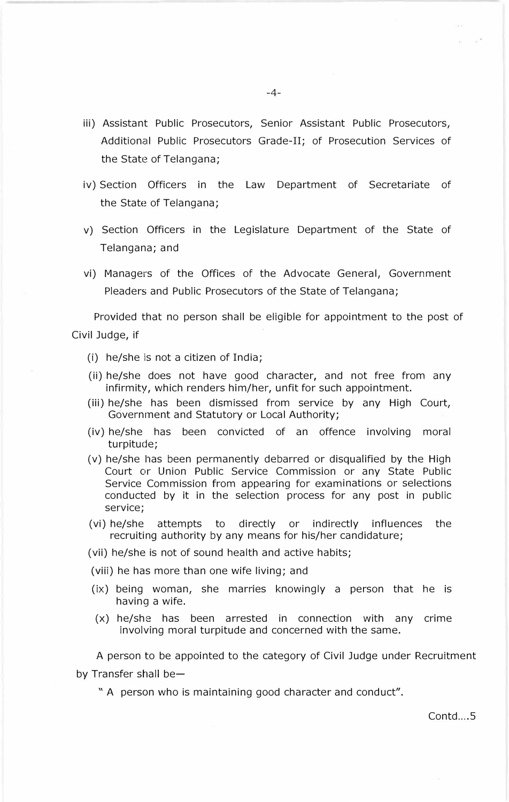- iii) Assistant Public Prosecutors, Senior Assistant Public Prosecutors, Additional Public Prosecutors Grade-II; of Prosecution Services of the State of Telangana;
- iv) Section Officers in the Law Department of Secretariate of the State of Telangana;
- v) Section Officers in the Legislature Department of the State of Telangana; and
- vi) Managers of the Offices of the Advocate General, Government Pleaders and Public Prosecutors of the State of Telangana;

Provided that no person shall be eligible for appointment to the post of Civil Judge, if

- (i) he/she is not a citizen of India;
- (ii) he/she does not have good character, and not free from any infirmity, which renders him/her, unfit for such appointment.
- (iii) he/she has been dismissed from service by any High Court, Government and Statutory or Local Authority;
- (iv) he/she has been convicted of an offence involving moral turpitude;
- (v) he/she has been permanently debarred or disqualified by the High Court or Union Public Service Commission or any State Public Service Commission from appearing for examinations or selections conducted by it in the selection process for any post in public service;
- (vi) he/she attempts to directly or indirectly influences the recruiting authority by any means for his/her candidature;

(vii) he/she is not of sound health and active habits;

(viii) he has more than one wife living; and

- (ix) being woman, she marries knowingly a person that he is having a wife.
- (x) he/she has been arrested in connection with any crime involving moral turpitude and concerned with the same.

A person to be appointed to the category of Civil Judge under Recruitment by Transfer shall be $-$ 

" A person who is maintaining good character and conduct".

 $Contd...$ 5

 $\sim$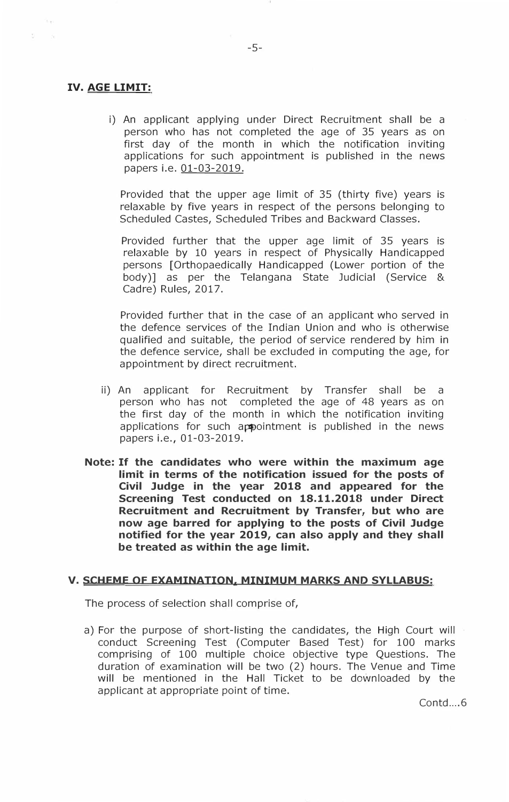# **IV. AGE LIMIT:**

 $\overline{\omega}$ 

 $\sim$ 

i) An applicant applying under Direct Recruitment shall be a person who has not completed the age of 35 years as on first day of the month in which the notification inviting applications for such appointment is published in the news papers i.e. 01-03-2019.

Provided that the upper age limit of 35 (thirty five) years is relaxable by five years in respect of the persons belonging to Scheduled Castes, Scheduled Tribes and Backward Classes.

Provided further that the upper age limit of 35 years is relaxable by 10 years in respect of Physically Handicapped persons [Orthopaedically Handicapped (Lower portion of the body)] as per the Telangana State Judicial (Service & Cadre) Rules, 2017.

Provided further that in the case of an applicant who served in the defence services of the Indian Union and who is otherwise qualified and suitable, the period of service rendered by him in the defence service, shall be excluded in computing the age, for appointment by direct recruitment.

- ii) An applicant for Recruitment by Transfer shall be a person who has not completed the age of 48 years as on the first day of the month in which the notification inviting applications for such appointment is published in the news papers i.e., 01-03-2019.
- **Note: If the candidates who were within the maximum age limit in terms of the notification issued for the posts of Civil Judge in the year 2018 and appeared for the Screening Test conducted on 18.11.2018 under Direct Recruitment and Recruitment by Transfer, but who are now age barred for applying to the posts of Civil Judge notified for the year 2019, can also apply and they shall be treated as within the age limit.**

# **V. SCHEME OF EXAMINATION, MINIMUM MARKS AND SYLLABUS:**

The process of selection shall comprise of,

a) For the purpose of short-listing the candidates, the High Court will conduct Screening Test (Computer Based Test) for 100 marks comprising of 100 multiple choice objective type Questions. The duration of examination will be two (2) hours. The Venue and Time will be mentioned in the Hall Ticket to be downloaded by the applicant at appropriate point of time.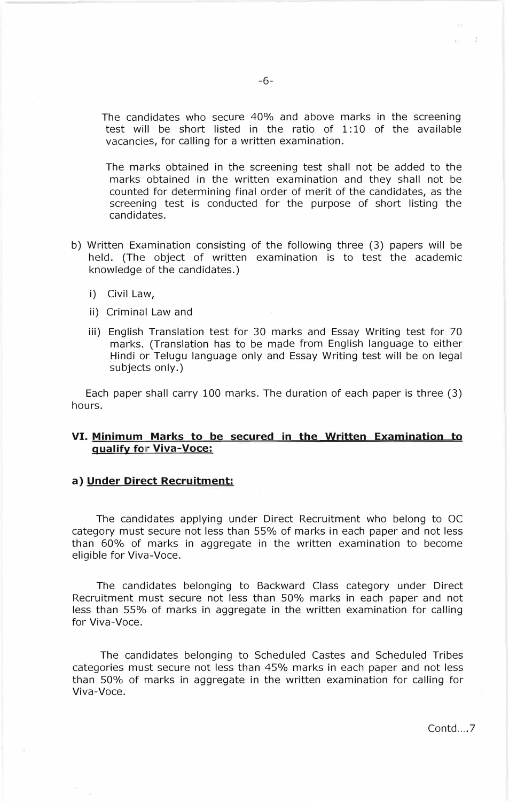The candidates who secure 40% and above marks in the screening test will be short listed in the ratio of 1:10 of the available vacancies, for calling for a written examination.

The marks obtained in the screening test shall not be added to the marks obtained in the written examination and they shall not be counted for determining final order of merit of the candidates, as the screening test is conducted for the purpose of short listing the candidates.

- b) Written Examination consisting of the following three (3) papers will be held. (The object of written examination is to test the academic knowledge of the candidates.)
	- i) Civil Law,
	- ii) Criminal Law and
	- iii) English Translation test for 30 marks and Essay Writing test for 70 marks. (Translation has to be made from English language to either Hindi or Telugu language only and Essay Writing test will be on legal subjects only.)

Each paper shall carry 100 marks. The duration of each paper is three (3) hours.

### **VI. Minimum Marks to be secured in the Written Examination to qualify for Viva-Voce:**

#### **a) Under Direct Recruitment:**

The candidates applying under Direct Recruitment who belong to OC category must secure not less than 55% of marks in each paper and not less than 60% of marks in aggregate in the written examination to become eligible for Viva-Voce.

The candidates belonging to Backward Class category under Direct Recruitment must secure not less than 50% marks in each paper and not less than 55% of marks in aggregate in the written examination for calling for Viva-Voce.

The candidates belonging to Scheduled Castes and Scheduled Tribes categories must secure not less than 45% marks in each paper and not less than 50% of marks in aggregate in the written examination for calling for Viva-Voce.

Contd...<sub>7</sub>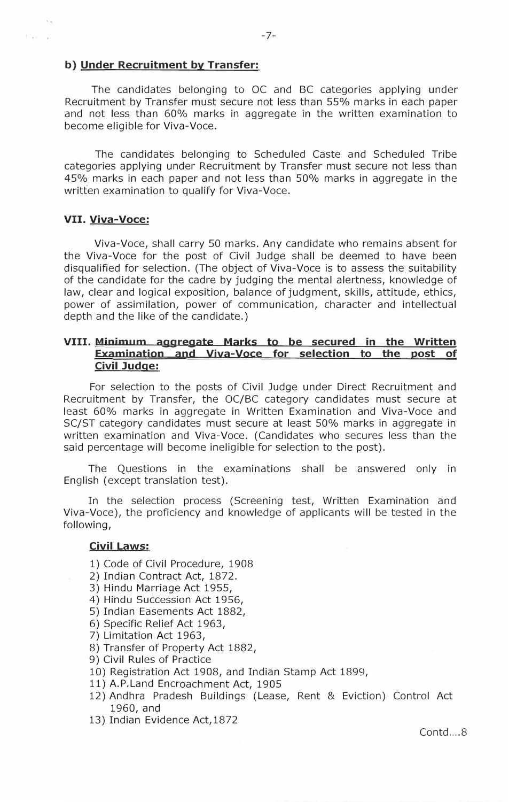### **b) Under Recruitment by Transfer:**

The candidates belonging to OC and BC categories applying under Recruitment by Transfer must secure not less than 55% marks in each paper and not less than 60% marks in aggregate in the written examination to become eligible for Viva-Voce.

The candidates belonging to Scheduled Caste and Scheduled Tribe categories applying under Recruitment by Transfer must secure not less than 45% marks in each paper and not less than 50% marks in aggregate in the written examination to qualify for Viva-Voce.

### **VII. Viva-Voce:**

 $\sim$  as

Viva-Voce, shall carry 50 marks. Any candidate who remains absent for the Viva-Voce for the post of Civil Judge shall be deemed to have been disqualified for selection. (The object of Viva-Voce is to assess the suitability of the candidate for the cadre by judging the mental alertness, knowledge of law, clear and logical exposition, balance of judgment, skills, attitude, ethics, power of assimilation, power of communication, character and intellectual depth and the like of the candidate.)

# **VIII. Minimum aggregate Marks to be secured in the Written Examination and Viva-Voce for selection to the post of Civil Judge:**

For selection to the posts of Civil Judge under Direct Recruitment and Recruitment by Transfer, the OC/BC category candidates must secure at least 60% marks in aggregate in Written Examination and Viva-Voce and SC/ST category candidates must secure at least 50% marks in aggregate in written examination and Viva-Voce. (Candidates who secures less than the said percentage will become ineligible for selection to the post).

The Questions in the examinations shall be answered only in English ( except translation test).

In the selection process (Screening test, Written Examination and Viva-Voce), the proficiency and knowledge of applicants will be tested in the following,

# **Civil Laws:**

- 1) Code of Civil Procedure, 1908
- 2) Indian Contract Act, 1872.
- 3) Hindu Marriage Act 1955,
- 4) Hindu Succession Act 1956,
- 5) Indian Easements Act 1882,
- 6) Specific Relief Act 1963,
- 7) Limitation Act 1963,
- 8) Transfer of Property Act 1882,
- 9) Civil Rules of Practice
- 10) Registration Act 1908, and Indian Stamp Act 1899,
- 11) A.P.Land Encroachment Act, 1905
- 12) Andhra Pradesh Buildings (Lease, Rent & Eviction) Control Act 1960, and
- 13) Indian Evidence Act,1872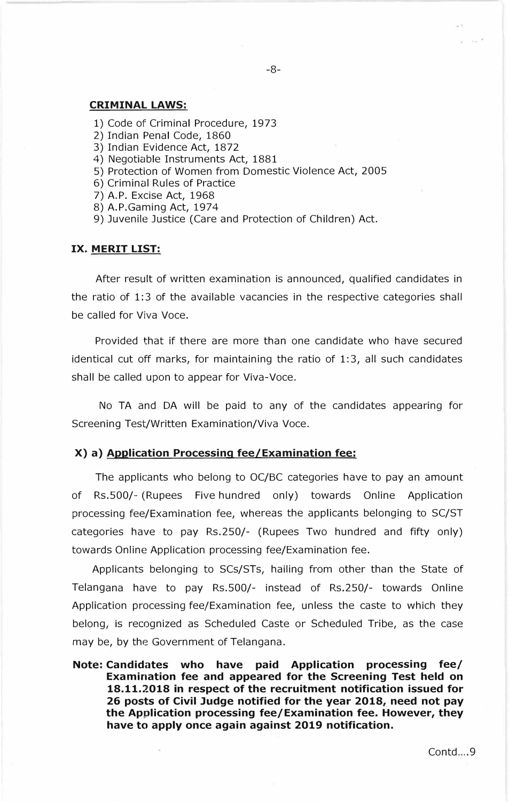# **CRIMINAL LAWS:**

- 1) Code of Criminal Procedure, 1973
- 2) Indian Penal Code, 1860
- 3) Indian Evidence Act, 1872
- 4) Negotiable Instruments Act, 1881
- 5) Protection of Women from Domestic Violence Act, 2005
- 6) Criminal Rules of Practice
- 7) A. P. Excise Act, 1968
- 8) A.P.Gaming Act, 1974
- 9) Juvenile Justice (Care and Protection of Children) Act.

#### **IX. MERIT LIST:**

After result of written examination is announced, qualified candidates in the ratio of 1:3 of the available vacancies in the respective categories shall be called for Viva Voce.

Provided that if there are more than one candidate who have secured identical cut off marks, for maintaining the ratio of 1: 3, all such candidates shall be called upon to appear for Viva-Voce.

No TA and DA will be paid to any of the candidates appearing for Screening Test/Written Examination/Viva Voce.

#### **X) a) Application Processing fee/Examination fee:**

The applicants who belong to OC/BC categories have to pay an amount of Rs.500/- (Rupees Five hundred only) towards Online Application processing fee/Examination fee, whereas the applicants belonging to SC/ST categories have to pay Rs.250/- (Rupees Two hundred and fifty only) towards Online Application processing fee/Examination fee.

Applicants belonging to SCs/STs, hailing from other than the State of Telangana have to pay Rs.500/- instead of Rs.250/- towards Online Application processing fee/Examination fee, unless the caste to which they belong, is recognized as Scheduled Caste or Scheduled Tribe, as the case may be, by the Government of Telangana.

**Note: Candidates who have paid Application processing fee/ Examination fee and appeared for the Screening Test held on 18.11.2018 in respect of the recruitment notification issued for 26 posts of Civil Judge notified for the year 2018, need not pay the Application processing fee/Examination fee. However, they have to apply once again against 2019 notification.** 

 $x = \sqrt{1 + \frac{1}{2}}$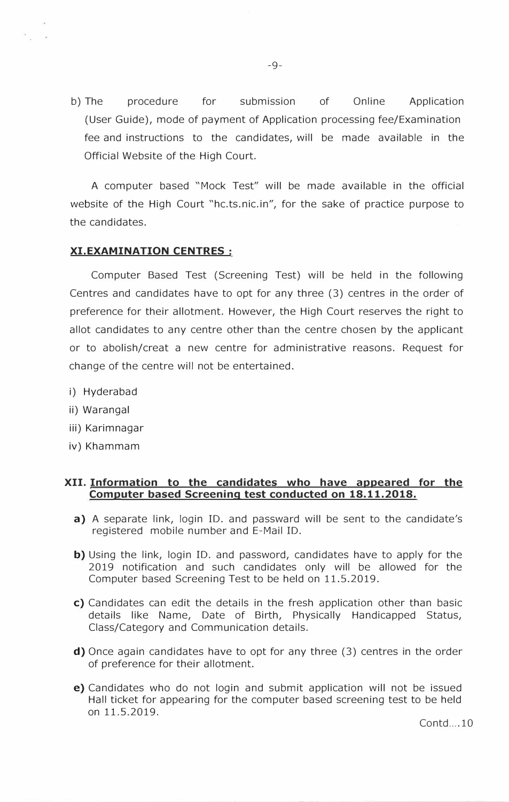b) The procedure for submission of Online Application (User Guide), mode of payment of Application processing fee/Examination fee and instructions to the candidates, will be made available in the Official Website of the High Court.

A computer based "Mock Test" will be made available in the official website of the High Court "hc.ts.nic.in", for the sake of practice purpose to the candidates.

# **XI.EXAMINATION CENTRES**

Computer Based Test (Screening Test) will be held in the following Centres and candidates have to opt for any three (3) centres in the order of preference for their allotment. However, the High Court reserves the right to allot candidates to any centre other than the centre chosen by the applicant or to abolish/creat a new centre for administrative reasons. Request for change of the centre will not be entertained.

- i) Hyderabad
- ii) Warangal
- iii) Karimnagar
- iv) Khammam

# **XII. Information to the candidates who have appeared for the Computer based Screening test conducted on 18.11.2018.**

- **a)** A separate link, login ID. and passward will be sent to the candidate's registered mobile number and E-Mail ID.
- **b)** Using the link, login ID. and password, candidates have to apply for the 2019 notification and such candidates only will be allowed for the Computer based Screening Test to be held on 11.5.2019.
- **c)** Candidates can edit the details in the fresh application other than basic details like Name, Date of Birth, Physically Handicapped Status, Class/Category and Communication details.
- **d)** Once again candidates have to opt for any three (3) centres in the order of preference for their allotment.
- **e)** Candidates who do not login and submit application will not be issued Hall ticket for appearing for the computer based screening test to be held on 11.5.2019.

 $Contd$  . 10